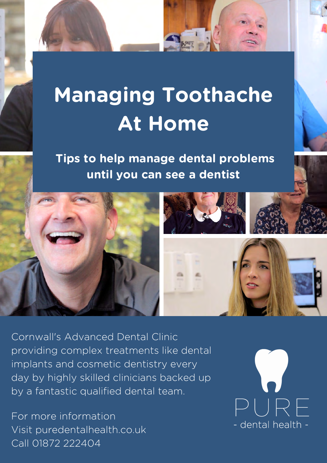# **Managing Toothache At Home**

**Tips to help manage dental problems until you can see a dentist**



Cornwall's Advanced Dental Clinic providing complex treatments like dental implants and cosmetic dentistry every day by highly skilled clinicians backed up by a fantastic qualified dental team.

For more information Visit [puredentalhealth.co.uk](https://puredentalhealth.co.uk/) Call 01872 222404

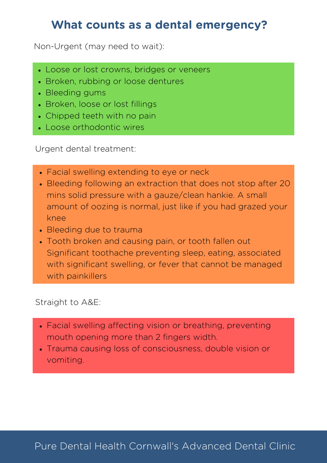#### **What counts as a dental emergency?**

Non-Urgent (may need to wait):

- Loose or lost crowns, bridges or veneers
- Broken, rubbing or loose dentures
- Bleeding gums
- Broken, loose or lost fillings
- Chipped teeth with no pain
- Loose orthodontic wires

Urgent dental treatment:

- Facial swelling extending to eye or neck
- Bleeding following an extraction that does not stop after 20 mins solid pressure with a gauze/clean hankie. A small amount of oozing is normal, just like if you had grazed your knee
- Bleeding due to trauma
- Tooth broken and causing pain, or tooth fallen out Significant toothache preventing sleep, eating, associated with significant swelling, or fever that cannot be managed with painkillers

Straight to A&E:

- Facial swelling affecting vision or breathing, preventing mouth opening more than 2 fingers width.
- Trauma causing loss of consciousness, double vision or vomiting.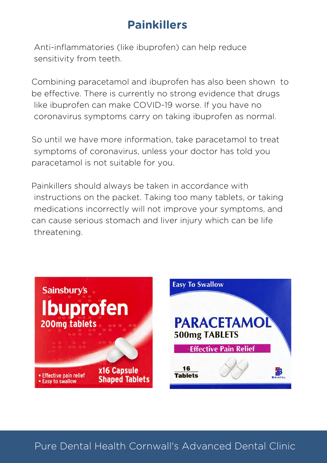## **Painkillers**

Anti-inflammatories (like ibuprofen) can help reduce sensitivity from teeth.

Combining paracetamol and ibuprofen has also been shown to be effective. There is currently no strong evidence that drugs like ibuprofen can make COVID-19 worse. If you have no coronavirus symptoms carry on taking ibuprofen as normal.

So until we have more information, take paracetamol to treat symptoms of coronavirus, unless your doctor has told you paracetamol is not suitable for you.

Painkillers should always be taken in accordance with instructions on the packet. Taking too many tablets, or taking medications incorrectly will not improve your symptoms, and can cause serious stomach and liver injury which can be life threatening.



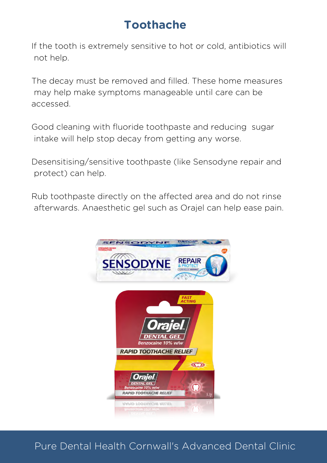### **Toothache**

If the tooth is extremely sensitive to hot or cold, antibiotics will not help.

The decay must be removed and filled. These home measures may help make symptoms manageable until care can be accessed.

Good cleaning with fluoride toothpaste and reducing sugar intake will help stop decay from getting any worse.

Desensitising/sensitive toothpaste (like Sensodyne repair and protect) can help.

Rub toothpaste directly on the affected area and do not rinse afterwards. Anaesthetic gel such as Orajel can help ease pain.

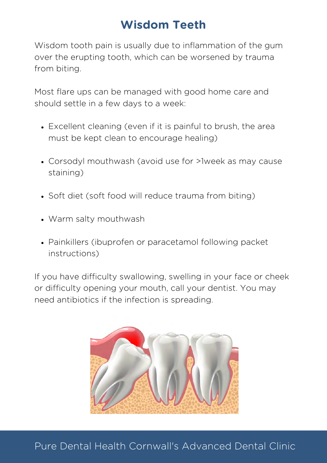## **Wisdom Teeth**

Wisdom tooth pain is usually due to inflammation of the gum over the erupting tooth, which can be worsened by trauma from biting.

Most flare ups can be managed with good home care and should settle in a few days to a week:

- Excellent cleaning (even if it is painful to brush, the area must be kept clean to encourage healing)
- Corsodyl mouthwash (avoid use for >1week as may cause staining)
- Soft diet (soft food will reduce trauma from biting)
- Warm salty mouthwash
- Painkillers (ibuprofen or paracetamol following packet instructions)

If you have difficulty swallowing, swelling in your face or cheek or difficulty opening your mouth, call your dentist. You may need antibiotics if the infection is spreading.

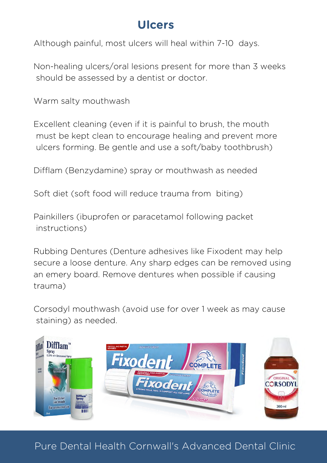#### **Ulcers**

Although painful, most ulcers will heal within 7-10 days.

Non-healing ulcers/oral lesions present for more than 3 weeks should be assessed by a dentist or doctor.

Warm salty mouthwash

Excellent cleaning (even if it is painful to brush, the mouth must be kept clean to encourage healing and prevent more ulcers forming. Be gentle and use a soft/baby toothbrush)

Difflam (Benzydamine) spray or mouthwash as needed

Soft diet (soft food will reduce trauma from biting)

Painkillers (ibuprofen or paracetamol following packet instructions)

Rubbing Dentures (Denture adhesives like Fixodent may help secure a loose denture. Any sharp edges can be removed using an emery board. Remove dentures when possible if causing trauma)

Corsodyl mouthwash (avoid use for over 1 week as may cause staining) as needed.

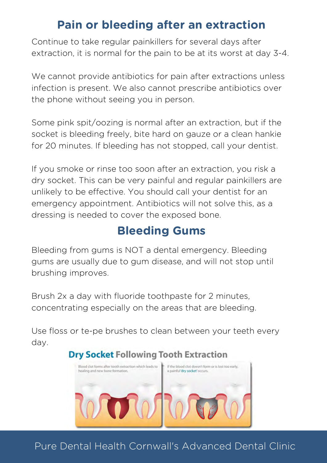#### **Pain or bleeding after an extraction**

Continue to take regular painkillers for several days after extraction, it is normal for the pain to be at its worst at day 3-4.

We cannot provide antibiotics for pain after extractions unless infection is present. We also cannot prescribe antibiotics over the phone without seeing you in person.

Some pink spit/oozing is normal after an extraction, but if the socket is bleeding freely, bite hard on gauze or a clean hankie for 20 minutes. If bleeding has not stopped, call your dentist.

If you smoke or rinse too soon after an extraction, you risk a dry socket. This can be very painful and regular painkillers are unlikely to be effective. You should call your dentist for an emergency appointment. Antibiotics will not solve this, as a dressing is needed to cover the exposed bone.

## **Bleeding Gums**

Bleeding from gums is NOT a dental emergency. Bleeding gums are usually due to gum disease, and will not stop until brushing improves.

Brush 2x a day with fluoride toothpaste for 2 minutes, concentrating especially on the areas that are bleeding.

Use floss or te-pe brushes to clean between your teeth every day.

#### **Dry Socket Following Tooth Extraction**